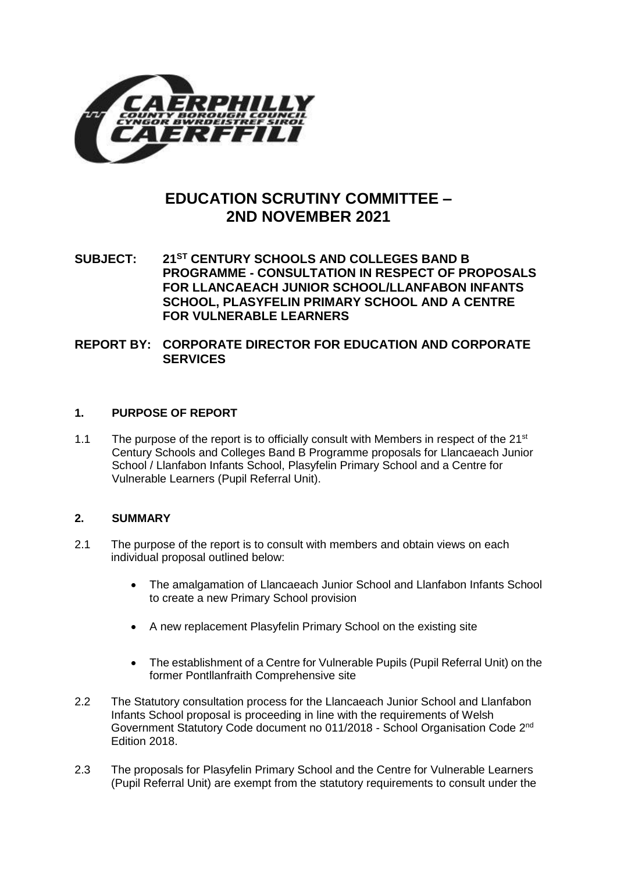

# **EDUCATION SCRUTINY COMMITTEE – 2ND NOVEMBER 2021**

**SUBJECT: 21ST CENTURY SCHOOLS AND COLLEGES BAND B PROGRAMME - CONSULTATION IN RESPECT OF PROPOSALS FOR LLANCAEACH JUNIOR SCHOOL/LLANFABON INFANTS SCHOOL, PLASYFELIN PRIMARY SCHOOL AND A CENTRE FOR VULNERABLE LEARNERS**

**REPORT BY: CORPORATE DIRECTOR FOR EDUCATION AND CORPORATE SERVICES**

## **1. PURPOSE OF REPORT**

1.1 The purpose of the report is to officially consult with Members in respect of the  $21^{st}$ Century Schools and Colleges Band B Programme proposals for Llancaeach Junior School / Llanfabon Infants School, Plasyfelin Primary School and a Centre for Vulnerable Learners (Pupil Referral Unit).

# **2. SUMMARY**

- 2.1 The purpose of the report is to consult with members and obtain views on each individual proposal outlined below:
	- The amalgamation of Llancaeach Junior School and Llanfabon Infants School to create a new Primary School provision
	- A new replacement Plasyfelin Primary School on the existing site
	- The establishment of a Centre for Vulnerable Pupils (Pupil Referral Unit) on the former Pontllanfraith Comprehensive site
- 2.2 The Statutory consultation process for the Llancaeach Junior School and Llanfabon Infants School proposal is proceeding in line with the requirements of Welsh Government Statutory Code document no 011/2018 - School Organisation Code 2nd Edition 2018.
- 2.3 The proposals for Plasyfelin Primary School and the Centre for Vulnerable Learners (Pupil Referral Unit) are exempt from the statutory requirements to consult under the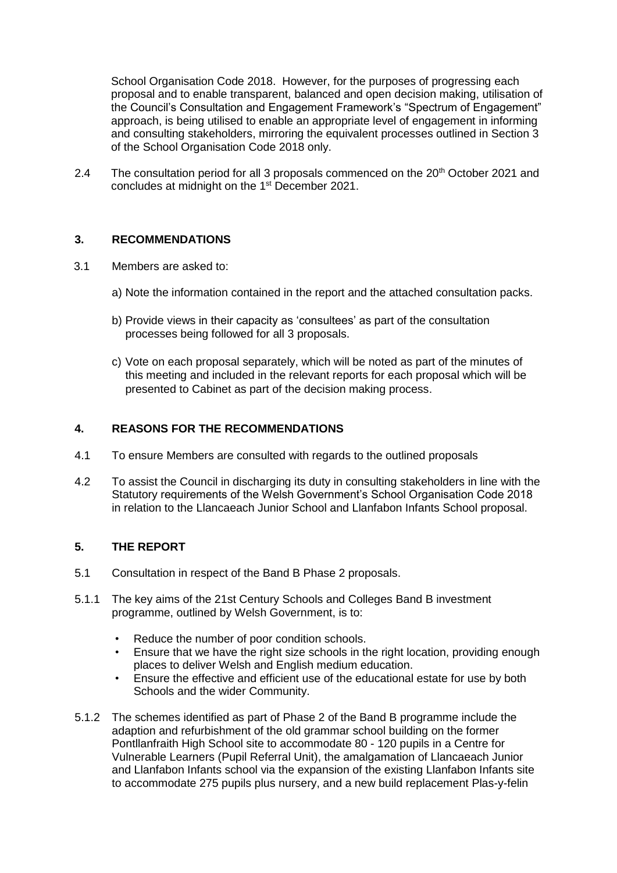School Organisation Code 2018. However, for the purposes of progressing each proposal and to enable transparent, balanced and open decision making, utilisation of the Council's Consultation and Engagement Framework's "Spectrum of Engagement" approach, is being utilised to enable an appropriate level of engagement in informing and consulting stakeholders, mirroring the equivalent processes outlined in Section 3 of the School Organisation Code 2018 only.

2.4 The consultation period for all 3 proposals commenced on the 20<sup>th</sup> October 2021 and concludes at midnight on the 1<sup>st</sup> December 2021.

## **3. RECOMMENDATIONS**

- 3.1 Members are asked to:
	- a) Note the information contained in the report and the attached consultation packs.
	- b) Provide views in their capacity as 'consultees' as part of the consultation processes being followed for all 3 proposals.
	- c) Vote on each proposal separately, which will be noted as part of the minutes of this meeting and included in the relevant reports for each proposal which will be presented to Cabinet as part of the decision making process.

## **4. REASONS FOR THE RECOMMENDATIONS**

- 4.1 To ensure Members are consulted with regards to the outlined proposals
- 4.2 To assist the Council in discharging its duty in consulting stakeholders in line with the Statutory requirements of the Welsh Government's School Organisation Code 2018 in relation to the Llancaeach Junior School and Llanfabon Infants School proposal.

## **5. THE REPORT**

- 5.1 Consultation in respect of the Band B Phase 2 proposals.
- 5.1.1 The key aims of the 21st Century Schools and Colleges Band B investment programme, outlined by Welsh Government, is to:
	- Reduce the number of poor condition schools.
	- Ensure that we have the right size schools in the right location, providing enough places to deliver Welsh and English medium education.
	- Ensure the effective and efficient use of the educational estate for use by both Schools and the wider Community.
- 5.1.2 The schemes identified as part of Phase 2 of the Band B programme include the adaption and refurbishment of the old grammar school building on the former Pontllanfraith High School site to accommodate 80 - 120 pupils in a Centre for Vulnerable Learners (Pupil Referral Unit), the amalgamation of Llancaeach Junior and Llanfabon Infants school via the expansion of the existing Llanfabon Infants site to accommodate 275 pupils plus nursery, and a new build replacement Plas-y-felin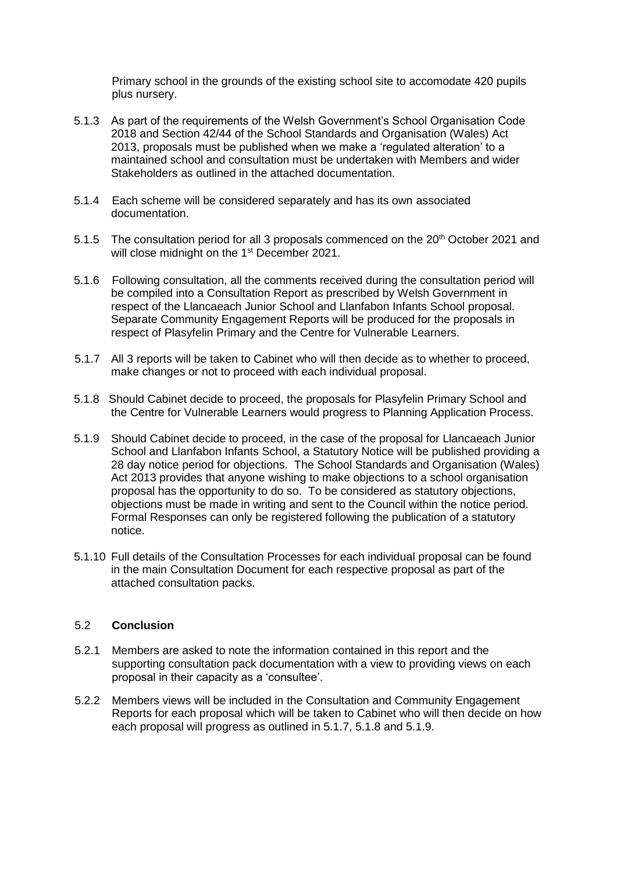Primary school in the grounds of the existing school site to accomodate 420 pupils plus nursery.

- 5.1.3 As part of the requirements of the Welsh Government's School Organisation Code 2018 and Section 42/44 of the School Standards and Organisation (Wales) Act 2013, proposals must be published when we make a 'regulated alteration' to a maintained school and consultation must be undertaken with Members and wider Stakeholders as outlined in the attached documentation.
- 5.1.4 Each scheme will be considered separately and has its own associated documentation.
- 5.1.5 The consultation period for all 3 proposals commenced on the 20<sup>th</sup> October 2021 and will close midnight on the 1<sup>st</sup> December 2021.
- 5.1.6 Following consultation, all the comments received during the consultation period will be compiled into a Consultation Report as prescribed by Welsh Government in respect of the Llancaeach Junior School and Llanfabon Infants School proposal. Separate Community Engagement Reports will be produced for the proposals in respect of Plasyfelin Primary and the Centre for Vulnerable Learners.
- 5.1.7 All 3 reports will be taken to Cabinet who will then decide as to whether to proceed, make changes or not to proceed with each individual proposal.
- 5.1.8 Should Cabinet decide to proceed, the proposals for Plasyfelin Primary School and the Centre for Vulnerable Learners would progress to Planning Application Process.
- 5.1.9 Should Cabinet decide to proceed, in the case of the proposal for Llancaeach Junior School and Llanfabon Infants School, a Statutory Notice will be published providing a 28 day notice period for objections. The School Standards and Organisation (Wales) Act 2013 provides that anyone wishing to make objections to a school organisation proposal has the opportunity to do so. To be considered as statutory objections, objections must be made in writing and sent to the Council within the notice period. Formal Responses can only be registered following the publication of a statutory notice.
- 5.1.10 Full details of the Consultation Processes for each individual proposal can be found in the main Consultation Document for each respective proposal as part of the attached consultation packs.

#### 5.2 **Conclusion**

- 5.2.1 Members are asked to note the information contained in this report and the supporting consultation pack documentation with a view to providing views on each proposal in their capacity as a 'consultee'.
- 5.2.2 Members views will be included in the Consultation and Community Engagement Reports for each proposal which will be taken to Cabinet who will then decide on how each proposal will progress as outlined in 5.1.7, 5.1.8 and 5.1.9.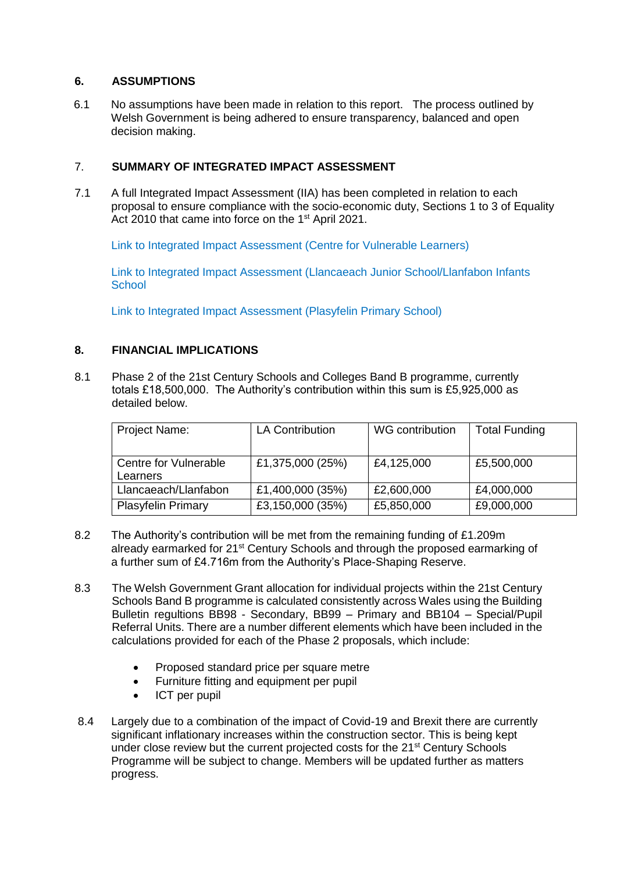## **6. ASSUMPTIONS**

6.1 No assumptions have been made in relation to this report. The process outlined by Welsh Government is being adhered to ensure transparency, balanced and open decision making.

# 7. **SUMMARY OF INTEGRATED IMPACT ASSESSMENT**

7.1 A full Integrated Impact Assessment (IIA) has been completed in relation to each proposal to ensure compliance with the socio-economic duty, Sections 1 to 3 of Equality Act 2010 that came into force on the 1<sup>st</sup> April 2021.

[Link to Integrated Impact Assessment \(Centre for Vulnerable Learners\)](https://www.caerphilly.gov.uk/CaerphillyDocs/IIA/centre-for-vulnerable-learners-sep2021)

[Link to Integrated Impact Assessment \(Llancaeach Junior School/Llanfabon Infants](https://www.caerphilly.gov.uk/CaerphillyDocs/IIA/llancaeach-junior-llanfabon-infants-schools-sep202)  **[School](https://www.caerphilly.gov.uk/CaerphillyDocs/IIA/llancaeach-junior-llanfabon-infants-schools-sep202)** 

[Link to Integrated Impact Assessment \(Plasyfelin Primary School\)](https://www.caerphilly.gov.uk/CaerphillyDocs/IIA/plasyfelin-primary-school-sep2021)

## **8. FINANCIAL IMPLICATIONS**

8.1 Phase 2 of the 21st Century Schools and Colleges Band B programme, currently totals £18,500,000. The Authority's contribution within this sum is £5,925,000 as detailed below.

| Project Name:                     | <b>LA Contribution</b> | WG contribution | <b>Total Funding</b> |
|-----------------------------------|------------------------|-----------------|----------------------|
| Centre for Vulnerable<br>Learners | £1,375,000 (25%)       | £4,125,000      | £5,500,000           |
| Llancaeach/Llanfabon              | £1,400,000 (35%)       | £2,600,000      | £4,000,000           |
| <b>Plasyfelin Primary</b>         | £3,150,000 (35%)       | £5,850,000      | £9,000,000           |

- 8.2 The Authority's contribution will be met from the remaining funding of £1.209m already earmarked for 21<sup>st</sup> Century Schools and through the proposed earmarking of a further sum of £4.716m from the Authority's Place-Shaping Reserve.
- 8.3 The Welsh Government Grant allocation for individual projects within the 21st Century Schools Band B programme is calculated consistently across Wales using the Building Bulletin regultions BB98 - Secondary, BB99 – Primary and BB104 – Special/Pupil Referral Units. There are a number different elements which have been included in the calculations provided for each of the Phase 2 proposals, which include:
	- Proposed standard price per square metre
	- Furniture fitting and equipment per pupil
	- ICT per pupil
- 8.4 Largely due to a combination of the impact of Covid-19 and Brexit there are currently significant inflationary increases within the construction sector. This is being kept under close review but the current projected costs for the 21<sup>st</sup> Century Schools Programme will be subject to change. Members will be updated further as matters progress.